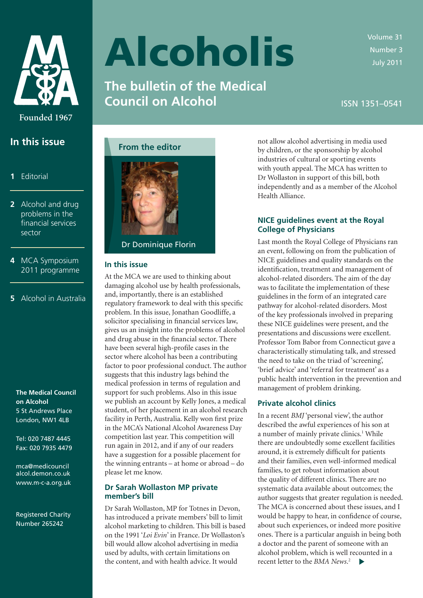<span id="page-0-0"></span>

**In this issue**

 **2** [Alcohol and drug](#page-1-0)  problems in the financial services

**4** [MCA Symposium](#page-3-0)  2011 programme

**5** [Alcohol in Australia](#page-4-0)

**1** [Editorial](#page-0-0)

sector

# Alcoholis

**The bulletin of the Medical Council on Alcohol**

Volume 31 Number 3 July 2011

ISSN 1351–0541





Dr Dominique Florin

### **In this issue**

At the MCA we are used to thinking about damaging alcohol use by health professionals, and, importantly, there is an established regulatory framework to deal with this specific problem. In this issue, Jonathan Goodliffe, a solicitor specialising in financial services law, gives us an insight into the problems of alcohol and drug abuse in the financial sector. There have been several high-profile cases in the sector where alcohol has been a contributing factor to poor professional conduct. The author suggests that this industry lags behind the medical profession in terms of regulation and support for such problems. Also in this issue we publish an account by Kelly Jones, a medical student, of her placement in an alcohol research facility in Perth, Australia. Kelly won first prize in the MCA's National Alcohol Awareness Day competition last year. This competition will run again in 2012, and if any of our readers have a suggestion for a possible placement for the winning entrants – at home or abroad – do please let me know.

# **Dr Sarah Wollaston MP private member's bill**

Dr Sarah Wollaston, MP for Totnes in Devon, has introduced a private members' bill to limit alcohol marketing to children. This bill is based on the 1991 '*Loi Evin*' in France. Dr Wollaston's bill would allow alcohol advertising in media used by adults, with certain limitations on the content, and with health advice. It would

not allow alcohol advertising in media used by children, or the sponsorship by alcohol industries of cultural or sporting events with youth appeal. The MCA has written to Dr Wollaston in support of this bill, both independently and as a member of the Alcohol Health Alliance.

# **NICE guidelines event at the Royal College of Physicians**

Last month the Royal College of Physicians ran an event, following on from the publication of NICE guidelines and quality standards on the identification, treatment and management of alcohol-related disorders. The aim of the day was to facilitate the implementation of these guidelines in the form of an integrated care pathway for alcohol-related disorders. Most of the key professionals involved in preparing these NICE guidelines were present, and the presentations and discussions were excellent. Professor Tom Babor from Connecticut gave a characteristically stimulating talk, and stressed the need to take on the triad of 'screening', 'brief advice' and 'referral for treatment' as a public health intervention in the prevention and management of problem drinking.

# **Private alcohol clinics**

In a recent *BMJ* 'personal view', the author described the awful experiences of his son at a number of mainly private clinics.<sup>1</sup> While there are undoubtedly some excellent facilities around, it is extremely difficult for patients and their families, even well-informed medical families, to get robust information about the quality of different clinics. There are no systematic data available about outcomes; the author suggests that greater regulation is needed. The MCA is concerned about these issues, and I would be happy to hear, in confidence of course, about such experiences, or indeed more positive ones. There is a particular anguish in being both a doctor and the parent of someone with an alcohol problem, which is well recounted in a recent letter to the *BMA News*. 2

 **The Medical Council on Alcohol** 5 St Andrews Place London, NW1 4LB

Tel: 020 7487 4445 Fax: 020 7935 4479

 mca@medicouncil [alcol.demon.co.uk](mailto: mca@medicouncilalcol.demon.co.uk) [www.m-c-a.org.uk](http://www.m-c-a.org.uk)

Registered Charity Number 265242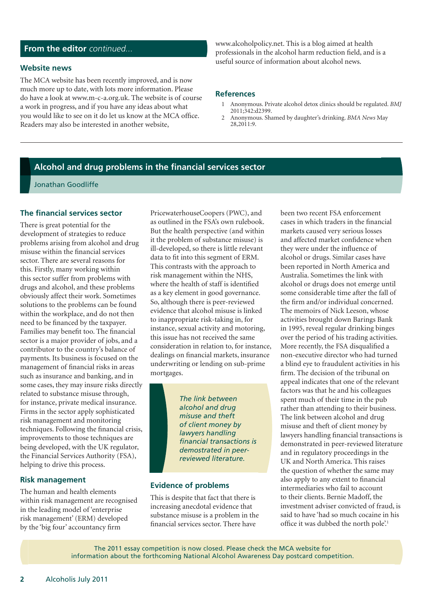# <span id="page-1-0"></span>From the editor continued...

#### **Website news**

The MCA website has been recently improved, and is now much more up to date, with lots more information. Please do have a look at www.m-c-a.org.uk. The website is of course a work in progress, and if you have any ideas about what you would like to see on it do let us know at the MCA office. Readers may also be interested in another website,

www.alcoholpolicy.net. This is a blog aimed at health professionals in the alcohol harm reduction field, and is a useful source of information about alcohol news.

#### **References**

- 1 Anonymous. Private alcohol detox clinics should be regulated. *BMJ* 2011;342:d2399.
- 2 Anonymous. Shamed by daughter's drinking. *BMA News* May 28,2011:9.

# **Alcohol and drug problems in the financial services sector**

Jonathan Goodliffe

#### **The financial services sector**

There is great potential for the development of strategies to reduce problems arising from alcohol and drug misuse within the financial services sector. There are several reasons for this. Firstly, many working within this sector suffer from problems with drugs and alcohol, and these problems obviously affect their work. Sometimes solutions to the problems can be found within the workplace, and do not then need to be financed by the taxpayer. Families may benefit too. The financial sector is a major provider of jobs, and a contributor to the country's balance of payments. Its business is focused on the management of financial risks in areas such as insurance and banking, and in some cases, they may insure risks directly related to substance misuse through, for instance, private medical insurance. Firms in the sector apply sophisticated risk management and monitoring techniques. Following the financial crisis, improvements to those techniques are being developed, with the UK regulator, the Financial Services Authority (FSA), helping to drive this process.

## **Risk management**

The human and health elements within risk management are recognised in the leading model of 'enterprise risk management' (ERM) developed by the 'big four' accountancy firm

PricewaterhouseCoopers (PWC), and as outlined in the FSA's own rulebook. But the health perspective (and within it the problem of substance misuse) is ill-developed, so there is little relevant data to fit into this segment of ERM. This contrasts with the approach to risk management within the NHS, where the health of staff is identified as a key element in good governance. So, although there is peer-reviewed evidence that alcohol misuse is linked to inappropriate risk-taking in, for instance, sexual activity and motoring, this issue has not received the same consideration in relation to, for instance, dealings on financial markets, insurance underwriting or lending on sub-prime mortgages.

> *The link between alcohol and drug misuse and theft of client money by lawyers handling financial transactions is demostrated in peerreviewed literature.*

# **Evidence of problems**

This is despite that fact that there is increasing anecdotal evidence that substance misuse is a problem in the financial services sector. There have

been two recent FSA enforcement cases in which traders in the financial markets caused very serious losses and affected market confidence when they were under the influence of alcohol or drugs. Similar cases have been reported in North America and Australia. Sometimes the link with alcohol or drugs does not emerge until some considerable time after the fall of the firm and/or individual concerned. The memoirs of Nick Leeson, whose activities brought down Barings Bank in 1995, reveal regular drinking binges over the period of his trading activities. More recently, the FSA disqualified a non-executive director who had turned a blind eye to fraudulent activities in his firm. The decision of the tribunal on appeal indicates that one of the relevant factors was that he and his colleagues spent much of their time in the pub rather than attending to their business. The link between alcohol and drug misuse and theft of client money by lawyers handling financial transactions is demonstrated in peer-reviewed literature and in regulatory proceedings in the UK and North America. This raises the question of whether the same may also apply to any extent to financial intermediaries who fail to account to their clients. Bernie Madoff, the investment adviser convicted of fraud, is said to have 'had so much cocaine in his office it was dubbed the north pole'.<sup>1</sup>

The 2011 essay competition is now closed. Please check the MCA website for information about the forthcoming National Alcohol Awareness Day postcard competition.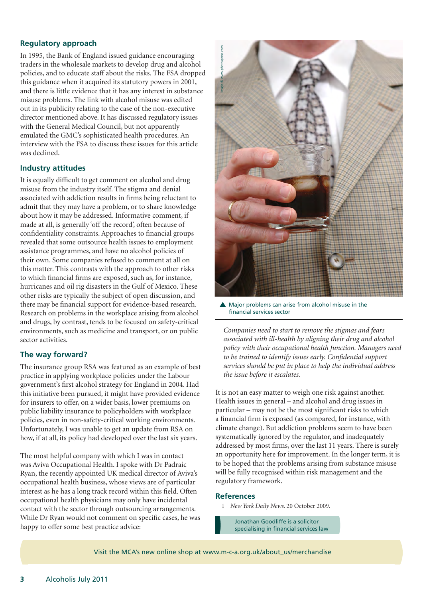# **Regulatory approach**

In 1995, the Bank of England issued guidance encouraging traders in the wholesale markets to develop drug and alcohol policies, and to educate staff about the risks. The FSA dropped this guidance when it acquired its statutory powers in 2001, and there is little evidence that it has any interest in substance misuse problems. The link with alcohol misuse was edited out in its publicity relating to the case of the non-executive director mentioned above. It has discussed regulatory issues with the General Medical Council, but not apparently emulated the GMC's sophisticated health procedures. An interview with the FSA to discuss these issues for this article was declined.

#### **Industry attitudes**

It is equally difficult to get comment on alcohol and drug misuse from the industry itself. The stigma and denial associated with addiction results in firms being reluctant to admit that they may have a problem, or to share knowledge about how it may be addressed. Informative comment, if made at all, is generally 'off the record', often because of confidentiality constraints. Approaches to financial groups revealed that some outsource health issues to employment assistance programmes, and have no alcohol policies of their own. Some companies refused to comment at all on this matter. This contrasts with the approach to other risks to which financial firms are exposed, such as, for instance, hurricanes and oil rig disasters in the Gulf of Mexico. These other risks are typically the subject of open discussion, and there may be financial support for evidence-based research. Research on problems in the workplace arising from alcohol and drugs, by contrast, tends to be focused on safety-critical environments, such as medicine and transport, or on public sector activities.

#### **The way forward?**

The insurance group RSA was featured as an example of best practice in applying workplace policies under the Labour government's first alcohol strategy for England in 2004. Had this initiative been pursued, it might have provided evidence for insurers to offer, on a wider basis, lower premiums on public liability insurance to policyholders with workplace policies, even in non-safety-critical working environments. Unfortunately, I was unable to get an update from RSA on how, if at all, its policy had developed over the last six years.

The most helpful company with which I was in contact was Aviva Occupational Health. I spoke with Dr Padraic Ryan, the recently appointed UK medical director of Aviva's occupational health business, whose views are of particular interest as he has a long track record within this field. Often occupational health physicians may only have incidental contact with the sector through outsourcing arrangements. While Dr Ryan would not comment on specific cases, he was happy to offer some best practice advice:



**A** Major problems can arise from alcohol misuse in the financial services sector

*Companies need to start to remove the stigmas and fears associated with ill-health by aligning their drug and alcohol policy with their occupational health function. Managers need to be trained to identify issues early. Confidential support services should be put in place to help the individual address the issue before it escalates.*

It is not an easy matter to weigh one risk against another. Health issues in general – and alcohol and drug issues in particular – may not be the most significant risks to which a financial firm is exposed (as compared, for instance, with climate change). But addiction problems seem to have been systematically ignored by the regulator, and inadequately addressed by most firms, over the last 11 years. There is surely an opportunity here for improvement. In the longer term, it is to be hoped that the problems arising from substance misuse will be fully recognised within risk management and the regulatory framework.

#### **References**

1 *[New York Daily News](http://articles.nydailynews.com/2009-10-20/news/17935364_1_madoff-securities-prison-for-drug-crimes-cocaine-kingpin)*. 20 October 2009.

Jonathan Goodliffe is a solicitor specialising in financial services law

Visit the MCA's new online shop at www.m-c-a.org.uk/about\_us/merchandise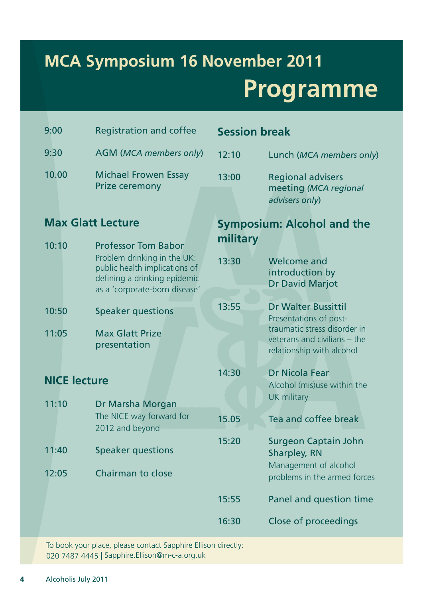# <span id="page-3-0"></span>**MCA Symposium 16 November 2011 Programme**

| 9:00                         | <b>Registration and coffee</b>                                                                                                | <b>Session break</b>              |                                                                                           |
|------------------------------|-------------------------------------------------------------------------------------------------------------------------------|-----------------------------------|-------------------------------------------------------------------------------------------|
| 9:30                         | <b>AGM (MCA members only)</b>                                                                                                 | 12:10                             | Lunch (MCA members only)                                                                  |
| 10.00                        | <b>Michael Frowen Essay</b><br><b>Prize ceremony</b>                                                                          | 13:00                             | <b>Regional advisers</b><br>meeting (MCA regional<br>advisers only)                       |
| <b>Max Glatt Lecture</b>     |                                                                                                                               | <b>Symposium: Alcohol and the</b> |                                                                                           |
| 10:10                        | <b>Professor Tom Babor</b>                                                                                                    | military                          |                                                                                           |
|                              | Problem drinking in the UK:<br>public health implications of<br>defining a drinking epidemic<br>as a 'corporate-born disease' | 13:30                             | <b>Welcome and</b><br>introduction by<br><b>Dr David Marjot</b>                           |
| 10:50                        | <b>Speaker questions</b>                                                                                                      | 13:55                             | <b>Dr Walter Bussittil</b><br>Presentations of post-                                      |
| 11:05                        | <b>Max Glatt Prize</b><br>presentation                                                                                        |                                   | traumatic stress disorder in<br>veterans and civilians - the<br>relationship with alcohol |
| <b>NICE lecture</b><br>11:10 |                                                                                                                               | 14:30                             | <b>Dr Nicola Fear</b><br>Alcohol (mis)use within the<br><b>UK military</b>                |
|                              | Dr Marsha Morgan<br>The NICE way forward for<br>2012 and beyond                                                               | 15.05                             | Tea and coffee break                                                                      |
| 11:40                        | <b>Speaker questions</b>                                                                                                      | 15:20                             | <b>Surgeon Captain John</b><br><b>Sharpley, RN</b><br>Management of alcohol               |
| 12:05                        | <b>Chairman to close</b>                                                                                                      |                                   | problems in the armed forces                                                              |
|                              |                                                                                                                               | 15:55                             | Panel and question time                                                                   |
|                              |                                                                                                                               | 16:30                             | Close of proceedings                                                                      |

To book your place, please contact Sapphire Ellison directly: 020 7487 4445 **|** Sapphire.Ellison@m-c-a.org.uk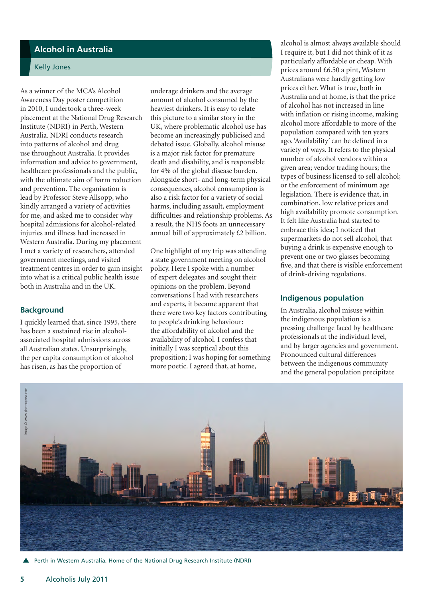# <span id="page-4-0"></span>**Alcohol in Australia**

### Kelly Jones

As a winner of the MCA's Alcohol Awareness Day poster competition in 2010, I undertook a three-week placement at the National Drug Research Institute (NDRI) in Perth, Western Australia. NDRI conducts research into patterns of alcohol and drug use throughout Australia. It provides information and advice to government, healthcare professionals and the public, with the ultimate aim of harm reduction and prevention. The organisation is lead by Professor Steve Allsopp, who kindly arranged a variety of activities for me, and asked me to consider why hospital admissions for alcohol-related injuries and illness had increased in Western Australia. During my placement I met a variety of researchers, attended government meetings, and visited treatment centres in order to gain insight into what is a critical public health issue both in Australia and in the UK.

#### **Background**

I quickly learned that, since 1995, there has been a sustained rise in alcoholassociated hospital admissions across all Australian states. Unsurprisingly, the per capita consumption of alcohol has risen, as has the proportion of

underage drinkers and the average amount of alcohol consumed by the heaviest drinkers. It is easy to relate this picture to a similar story in the UK, where problematic alcohol use has become an increasingly publicised and debated issue. Globally, alcohol misuse is a major risk factor for premature death and disability, and is responsible for 4% of the global disease burden. Alongside short- and long-term physical consequences, alcohol consumption is also a risk factor for a variety of social harms, including assault, employment difficulties and relationship problems. As a result, the NHS foots an unnecessary annual bill of approximately £2 billion.

One highlight of my trip was attending a state government meeting on alcohol policy. Here I spoke with a number of expert delegates and sought their opinions on the problem. Beyond conversations I had with researchers and experts, it became apparent that there were two key factors contributing to people's drinking behaviour: the affordability of alcohol and the availability of alcohol. I confess that initially I was sceptical about this proposition; I was hoping for something more poetic. I agreed that, at home,

alcohol is almost always available should I require it, but I did not think of it as particularly affordable or cheap. With prices around £6.50 a pint, Western Australians were hardly getting low prices either. What is true, both in Australia and at home, is that the price of alcohol has not increased in line with inflation or rising income, making alcohol more affordable to more of the population compared with ten years ago. 'Availability' can be defined in a variety of ways. It refers to the physical number of alcohol vendors within a given area; vendor trading hours; the types of business licensed to sell alcohol; or the enforcement of minimum age legislation. There is evidence that, in combination, low relative prices and high availability promote consumption. It felt like Australia had started to embrace this idea; I noticed that supermarkets do not sell alcohol, that buying a drink is expensive enough to prevent one or two glasses becoming five, and that there is visible enforcement of drink-driving regulations.

#### **Indigenous population**

In Australia, alcohol misuse within the indigenous population is a pressing challenge faced by healthcare professionals at the individual level, and by larger agencies and government. Pronounced cultural differences between the indigenous community and the general population precipitate



Perth in Western Australia, Home of the National Drug Research Institute (NDRI)